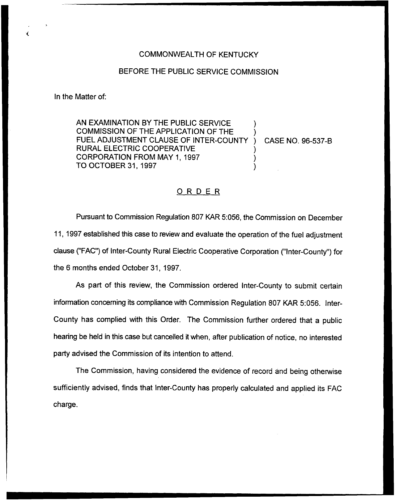## COMMONWEALTH OF KENTUCKY

## BEFORE THE PUBLIC SERVICE COMMISSION

In the Matter of:

 $\epsilon$ 

AN EXAMINATION BY THE PUBLIC SERVICE COMMISSION OF THE APPLICATION OF THE ) FUEL ADJUSTMENT CLAUSE OF INTER-COUNTY ) CASE NO. 96-537-B RURAL ELECTRIC COOPERATIVE ) CORPORATION FROM MAY 1, 1997 TO OCTOBER 31, 1997 )

## ORDER

Pursuant to Commission Regulation 807 KAR 5:056, the Commission on December 11, 1997 established this case to review and evaluate the operation of the fuel adjustment clause ("FAC") of Inter-County Rural Electric Cooperative Corporation ("Inter-County") for the 6 months ended October 31, 1997.

As part of this review, the Commission ordered Inter-County to submit certain information concerning its compliance with Commission Regulation 807 KAR 5:056, Inter-County has complied with this Order. The Commission further ordered that a public hearing be held in this case but cancelled it when, after publication of notice, no interested party advised the Commission of its intention to attend.

The Commission, having considered the evidence of record and being otherwise sufficiently advised, finds that Inter-County has properly calculated and applied its FAC charge.